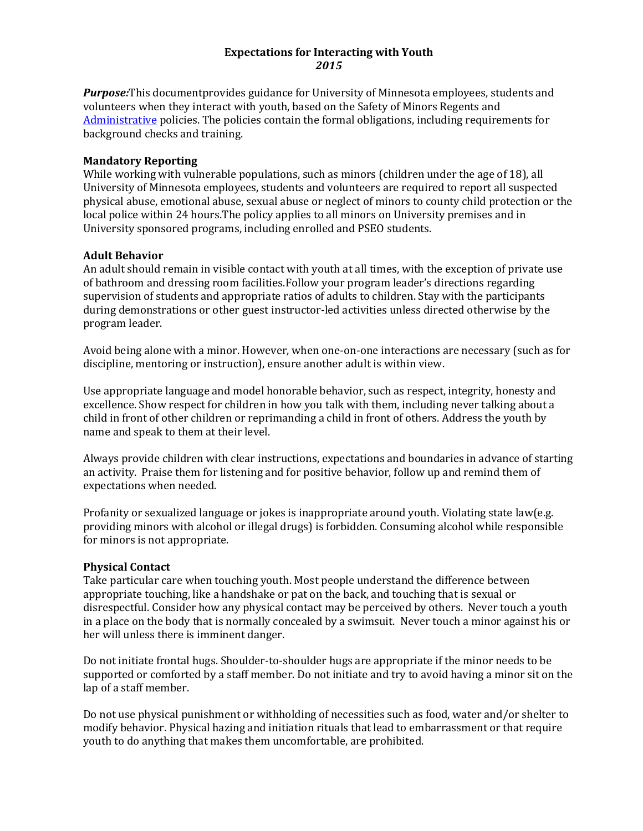### **Expectations for Interacting with Youth** *2015*

*Purpose:*This documentprovides guidance for University of Minnesota employees, students and volunteers when they interact with youth, based on the Safety of Minors Regents and [Administrative](http://www.policy.umn.edu/Policies/Operations/Outreach/MINORSAFETY.html) policies. The policies contain the formal obligations, including requirements for background checks and training.

### **Mandatory Reporting**

While working with vulnerable populations, such as minors (children under the age of 18), all University of Minnesota employees, students and volunteers are required to report all suspected physical abuse, emotional abuse, sexual abuse or neglect of minors to county child protection or the local police within 24 hours.The policy applies to all minors on University premises and in University sponsored programs, including enrolled and PSEO students.

# **Adult Behavior**

An adult should remain in visible contact with youth at all times, with the exception of private use of bathroom and dressing room facilities.Follow your program leader's directions regarding supervision of students and appropriate ratios of adults to children. Stay with the participants during demonstrations or other guest instructor-led activities unless directed otherwise by the program leader.

Avoid being alone with a minor. However, when one-on-one interactions are necessary (such as for discipline, mentoring or instruction), ensure another adult is within view.

Use appropriate language and model honorable behavior, such as respect, integrity, honesty and excellence. Show respect for children in how you talk with them, including never talking about a child in front of other children or reprimanding a child in front of others. Address the youth by name and speak to them at their level.

Always provide children with clear instructions, expectations and boundaries in advance of starting an activity. Praise them for listening and for positive behavior, follow up and remind them of expectations when needed.

Profanity or sexualized language or jokes is inappropriate around youth. Violating state law(e.g. providing minors with alcohol or illegal drugs) is forbidden. Consuming alcohol while responsible for minors is not appropriate.

### **Physical Contact**

Take particular care when touching youth. Most people understand the difference between appropriate touching, like a handshake or pat on the back, and touching that is sexual or disrespectful. Consider how any physical contact may be perceived by others. Never touch a youth in a place on the body that is normally concealed by a swimsuit. Never touch a minor against his or her will unless there is imminent danger.

Do not initiate frontal hugs. Shoulder-to-shoulder hugs are appropriate if the minor needs to be supported or comforted by a staff member. Do not initiate and try to avoid having a minor sit on the lap of a staff member.

Do not use physical punishment or withholding of necessities such as food, water and/or shelter to modify behavior. Physical hazing and initiation rituals that lead to embarrassment or that require youth to do anything that makes them uncomfortable, are prohibited.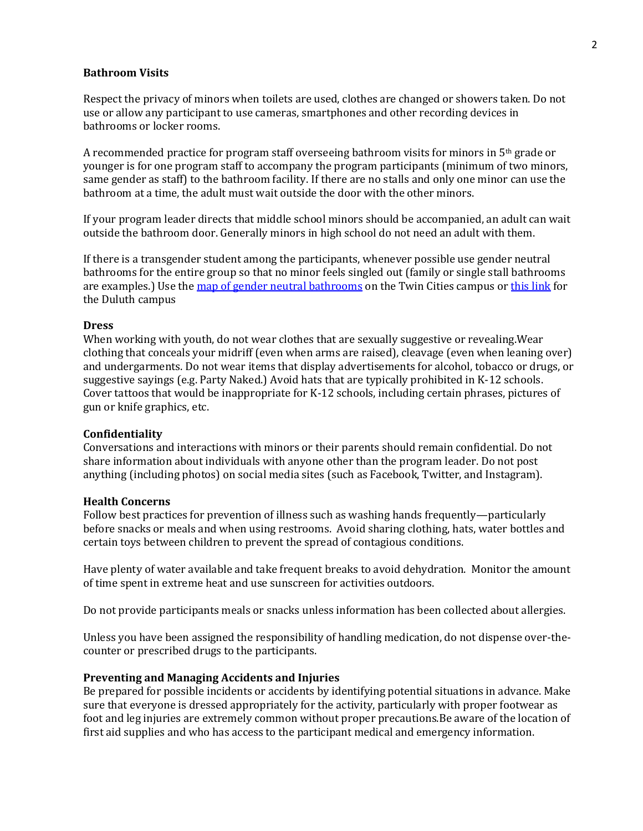#### **Bathroom Visits**

Respect the privacy of minors when toilets are used, clothes are changed or showers taken. Do not use or allow any participant to use cameras, smartphones and other recording devices in bathrooms or locker rooms.

A recommended practice for program staff overseeing bathroom visits for minors in  $5<sup>th</sup>$  grade or younger is for one program staff to accompany the program participants (minimum of two minors, same gender as staff) to the bathroom facility. If there are no stalls and only one minor can use the bathroom at a time, the adult must wait outside the door with the other minors.

If your program leader directs that middle school minors should be accompanied, an adult can wait outside the bathroom door. Generally minors in high school do not need an adult with them.

If there is a transgender student among the participants, whenever possible use gender neutral bathrooms for the entire group so that no minor feels singled out (family or single stall bathrooms are examples.) Use th[e map of gender neutral bathrooms](https://diversity.umn.edu/glbta/restrooms) on the Twin Cities campus o[r this link](http://www.d.umn.edu/maps/gender_neutral_bathroom.pdf) for the Duluth campus

#### **Dress**

When working with youth, do not wear clothes that are sexually suggestive or revealing.Wear clothing that conceals your midriff (even when arms are raised), cleavage (even when leaning over) and undergarments. Do not wear items that display advertisements for alcohol, tobacco or drugs, or suggestive sayings (e.g. Party Naked.) Avoid hats that are typically prohibited in K-12 schools. Cover tattoos that would be inappropriate for K-12 schools, including certain phrases, pictures of gun or knife graphics, etc.

#### **Confidentiality**

Conversations and interactions with minors or their parents should remain confidential. Do not share information about individuals with anyone other than the program leader. Do not post anything (including photos) on social media sites (such as Facebook, Twitter, and Instagram).

#### **Health Concerns**

Follow best practices for prevention of illness such as washing hands frequently—particularly before snacks or meals and when using restrooms. Avoid sharing clothing, hats, water bottles and certain toys between children to prevent the spread of contagious conditions.

Have plenty of water available and take frequent breaks to avoid dehydration. Monitor the amount of time spent in extreme heat and use sunscreen for activities outdoors.

Do not provide participants meals or snacks unless information has been collected about allergies.

Unless you have been assigned the responsibility of handling medication, do not dispense over-thecounter or prescribed drugs to the participants.

#### **Preventing and Managing Accidents and Injuries**

Be prepared for possible incidents or accidents by identifying potential situations in advance. Make sure that everyone is dressed appropriately for the activity, particularly with proper footwear as foot and leg injuries are extremely common without proper precautions.Be aware of the location of first aid supplies and who has access to the participant medical and emergency information.